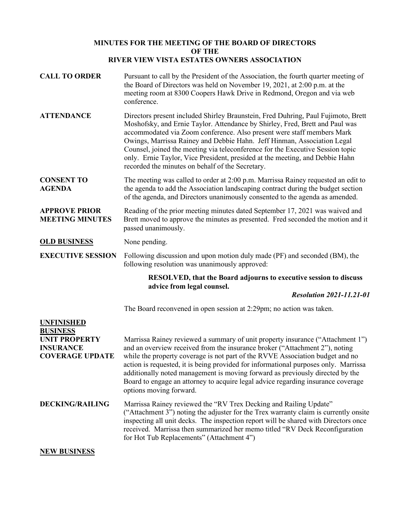## **MINUTES FOR THE MEETING OF THE BOARD OF DIRECTORS OF THE RIVER VIEW VISTA ESTATES OWNERS ASSOCIATION**

| <b>CALL TO ORDER</b>                                               | Pursuant to call by the President of the Association, the fourth quarter meeting of<br>the Board of Directors was held on November 19, 2021, at 2:00 p.m. at the<br>meeting room at 8300 Coopers Hawk Drive in Redmond, Oregon and via web<br>conference.                                                                                                                                                                                                                                                                                    |
|--------------------------------------------------------------------|----------------------------------------------------------------------------------------------------------------------------------------------------------------------------------------------------------------------------------------------------------------------------------------------------------------------------------------------------------------------------------------------------------------------------------------------------------------------------------------------------------------------------------------------|
| <b>ATTENDANCE</b>                                                  | Directors present included Shirley Braunstein, Fred Duhring, Paul Fujimoto, Brett<br>Moshofsky, and Ernie Taylor. Attendance by Shirley, Fred, Brett and Paul was<br>accommodated via Zoom conference. Also present were staff members Mark<br>Owings, Marrissa Rainey and Debbie Hahn. Jeff Hinman, Association Legal<br>Counsel, joined the meeting via teleconference for the Executive Session topic<br>only. Ernie Taylor, Vice President, presided at the meeting, and Debbie Hahn<br>recorded the minutes on behalf of the Secretary. |
| <b>CONSENT TO</b><br><b>AGENDA</b>                                 | The meeting was called to order at 2:00 p.m. Marrissa Rainey requested an edit to<br>the agenda to add the Association landscaping contract during the budget section<br>of the agenda, and Directors unanimously consented to the agenda as amended.                                                                                                                                                                                                                                                                                        |
| <b>APPROVE PRIOR</b><br><b>MEETING MINUTES</b>                     | Reading of the prior meeting minutes dated September 17, 2021 was waived and<br>Brett moved to approve the minutes as presented. Fred seconded the motion and it<br>passed unanimously.                                                                                                                                                                                                                                                                                                                                                      |
| <b>OLD BUSINESS</b>                                                | None pending.                                                                                                                                                                                                                                                                                                                                                                                                                                                                                                                                |
| <b>EXECUTIVE SESSION</b>                                           | Following discussion and upon motion duly made (PF) and seconded (BM), the<br>following resolution was unanimously approved:                                                                                                                                                                                                                                                                                                                                                                                                                 |
|                                                                    | <b>RESOLVED, that the Board adjourns to executive session to discuss</b><br>advice from legal counsel.                                                                                                                                                                                                                                                                                                                                                                                                                                       |
|                                                                    | <b>Resolution 2021-11.21-01</b>                                                                                                                                                                                                                                                                                                                                                                                                                                                                                                              |
|                                                                    | The Board reconvened in open session at 2:29pm; no action was taken.                                                                                                                                                                                                                                                                                                                                                                                                                                                                         |
| <b>UNFINISHED</b><br><b>BUSINESS</b>                               |                                                                                                                                                                                                                                                                                                                                                                                                                                                                                                                                              |
| <b>UNIT PROPERTY</b><br><b>INSURANCE</b><br><b>COVERAGE UPDATE</b> | Marrissa Rainey reviewed a summary of unit property insurance ("Attachment 1")<br>and an overview received from the insurance broker ("Attachment 2"), noting<br>while the property coverage is not part of the RVVE Association budget and no<br>action is requested, it is being provided for informational purposes only. Marrissa<br>additionally noted management is moving forward as previously directed by the<br>Board to engage an attorney to acquire legal advice regarding insurance coverage<br>options moving forward.        |
| <b>DECKING/RAILING</b>                                             | Marrissa Rainey reviewed the "RV Trex Decking and Railing Update"<br>("Attachment 3") noting the adjuster for the Trex warranty claim is currently onsite<br>inspecting all unit decks. The inspection report will be shared with Directors once<br>received. Marrissa then summarized her memo titled "RV Deck Reconfiguration<br>for Hot Tub Replacements" (Attachment 4")                                                                                                                                                                 |

# **NEW BUSINESS**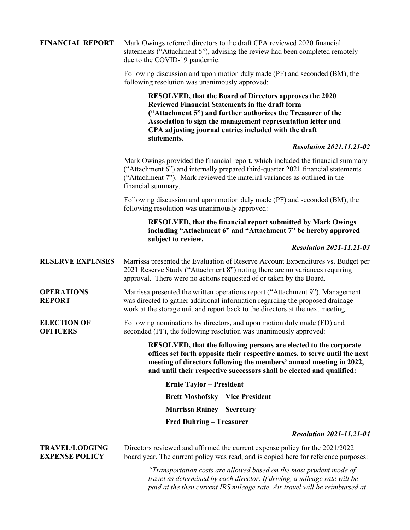| <b>FINANCIAL REPORT</b>                        | Mark Owings referred directors to the draft CPA reviewed 2020 financial<br>statements ("Attachment 5"), advising the review had been completed remotely<br>due to the COVID-19 pandemic.                                                                                                                                  |
|------------------------------------------------|---------------------------------------------------------------------------------------------------------------------------------------------------------------------------------------------------------------------------------------------------------------------------------------------------------------------------|
|                                                | Following discussion and upon motion duly made (PF) and seconded (BM), the<br>following resolution was unanimously approved:                                                                                                                                                                                              |
|                                                | RESOLVED, that the Board of Directors approves the 2020<br><b>Reviewed Financial Statements in the draft form</b><br>("Attachment 5") and further authorizes the Treasurer of the<br>Association to sign the management representation letter and<br>CPA adjusting journal entries included with the draft<br>statements. |
|                                                | <b>Resolution 2021.11.21-02</b>                                                                                                                                                                                                                                                                                           |
|                                                | Mark Owings provided the financial report, which included the financial summary<br>("Attachment 6") and internally prepared third-quarter 2021 financial statements<br>("Attachment 7"). Mark reviewed the material variances as outlined in the<br>financial summary.                                                    |
|                                                | Following discussion and upon motion duly made (PF) and seconded (BM), the<br>following resolution was unanimously approved:                                                                                                                                                                                              |
|                                                | <b>RESOLVED, that the financial report submitted by Mark Owings</b><br>including "Attachment 6" and "Attachment 7" be hereby approved<br>subject to review.                                                                                                                                                               |
|                                                | <b>Resolution 2021-11.21-03</b>                                                                                                                                                                                                                                                                                           |
| <b>RESERVE EXPENSES</b>                        | Marrissa presented the Evaluation of Reserve Account Expenditures vs. Budget per<br>2021 Reserve Study ("Attachment 8") noting there are no variances requiring<br>approval. There were no actions requested of or taken by the Board.                                                                                    |
| <b>OPERATIONS</b><br><b>REPORT</b>             | Marrissa presented the written operations report ("Attachment 9"). Management<br>was directed to gather additional information regarding the proposed drainage<br>work at the storage unit and report back to the directors at the next meeting.                                                                          |
| <b>ELECTION OF</b><br><b>OFFICERS</b>          | Following nominations by directors, and upon motion duly made (FD) and<br>seconded (PF), the following resolution was unanimously approved:                                                                                                                                                                               |
|                                                | RESOLVED, that the following persons are elected to the corporate<br>offices set forth opposite their respective names, to serve until the next<br>meeting of directors following the members' annual meeting in 2022,<br>and until their respective successors shall be elected and qualified:                           |
|                                                | <b>Ernie Taylor – President</b>                                                                                                                                                                                                                                                                                           |
|                                                | <b>Brett Moshofsky – Vice President</b>                                                                                                                                                                                                                                                                                   |
|                                                | <b>Marrissa Rainey - Secretary</b>                                                                                                                                                                                                                                                                                        |
|                                                | <b>Fred Duhring – Treasurer</b>                                                                                                                                                                                                                                                                                           |
|                                                | <b>Resolution 2021-11.21-04</b>                                                                                                                                                                                                                                                                                           |
| <b>TRAVEL/LODGING</b><br><b>EXPENSE POLICY</b> | Directors reviewed and affirmed the current expense policy for the 2021/2022<br>board year. The current policy was read, and is copied here for reference purposes:                                                                                                                                                       |
|                                                | "Transportation costs are allowed based on the most prudent mode of<br>travel as determined by each director. If driving, a mileage rate will be<br>paid at the then current IRS mileage rate. Air travel will be reimbursed at                                                                                           |